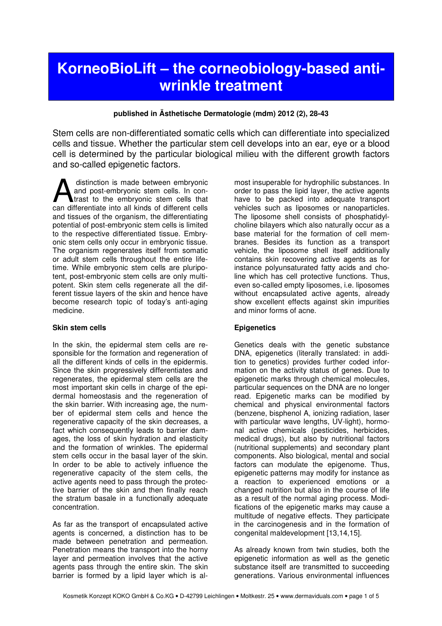# KorneoBioLift – the corneobiology-based antiwrinkle treatment

# published in Ästhetische Dermatologie (mdm) 2012 (2), 28-43

Stem cells are non-differentiated somatic cells which can differentiate into specialized cells and tissue. Whether the particular stem cell develops into an ear, eye or a blood cell is determined by the particular biological milieu with the different growth factors and so-called epigenetic factors.

 distinction is made between embryonic and post-embryonic stem cells. In contrast to the embryonic stem cells that distinction is made between embryonic and post-embryonic stem cells. In contrast to the embryonic stem cells that can differentiate into all kinds of different cells and tissues of the organism, the differentiating potential of post-embryonic stem cells is limited to the respective differentiated tissue. Embryonic stem cells only occur in embryonic tissue. The organism regenerates itself from somatic or adult stem cells throughout the entire lifetime. While embryonic stem cells are pluripotent, post-embryonic stem cells are only multipotent. Skin stem cells regenerate all the different tissue layers of the skin and hence have become research topic of today's anti-aging medicine.

### **Skin stem cells**

In the skin, the epidermal stem cells are responsible for the formation and regeneration of all the different kinds of cells in the epidermis. Since the skin progressively differentiates and regenerates, the epidermal stem cells are the most important skin cells in charge of the epidermal homeostasis and the regeneration of the skin barrier. With increasing age, the number of epidermal stem cells and hence the regenerative capacity of the skin decreases, a fact which consequently leads to barrier damages, the loss of skin hydration and elasticity and the formation of wrinkles. The epidermal stem cells occur in the basal layer of the skin. In order to be able to actively influence the regenerative capacity of the stem cells, the active agents need to pass through the protective barrier of the skin and then finally reach the stratum basale in a functionally adequate concentration.

As far as the transport of encapsulated active agents is concerned, a distinction has to be made between penetration and permeation. Penetration means the transport into the horny layer and permeation involves that the active agents pass through the entire skin. The skin barrier is formed by a lipid layer which is al-

most insuperable for hydrophilic substances. In order to pass the lipid layer, the active agents have to be packed into adequate transport vehicles such as liposomes or nanoparticles. The liposome shell consists of phosphatidylcholine bilayers which also naturally occur as a base material for the formation of cell membranes. Besides its function as a transport vehicle, the liposome shell itself additionally contains skin recovering active agents as for instance polyunsaturated fatty acids and choline which has cell protective functions. Thus, even so-called empty liposomes, i.e. liposomes without encapsulated active agents, already show excellent effects against skin impurities and minor forms of acne.

# **Epigenetics**

Genetics deals with the genetic substance DNA, epigenetics (literally translated: in addition to genetics) provides further coded information on the activity status of genes. Due to epigenetic marks through chemical molecules, particular sequences on the DNA are no longer read. Epigenetic marks can be modified by chemical and physical environmental factors (benzene, bisphenol A, ionizing radiation, laser with particular wave lengths, UV-light), hormonal active chemicals (pesticides, herbicides, medical drugs), but also by nutritional factors (nutritional supplements) and secondary plant components. Also biological, mental and social factors can modulate the epigenome. Thus, epigenetic patterns may modify for instance as a reaction to experienced emotions or a changed nutrition but also in the course of life as a result of the normal aging process. Modifications of the epigenetic marks may cause a multitude of negative effects. They participate in the carcinogenesis and in the formation of congenital maldevelopment [13,14,15].

As already known from twin studies, both the epigenetic information as well as the genetic substance itself are transmitted to succeeding generations. Various environmental influences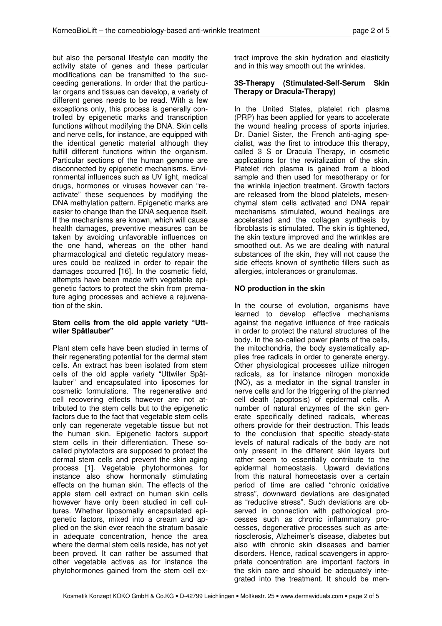but also the personal lifestyle can modify the activity state of genes and these particular modifications can be transmitted to the succeeding generations. In order that the particular organs and tissues can develop, a variety of different genes needs to be read. With a few exceptions only, this process is generally controlled by epigenetic marks and transcription functions without modifying the DNA. Skin cells and nerve cells, for instance, are equipped with the identical genetic material although they fulfill different functions within the organism. Particular sections of the human genome are disconnected by epigenetic mechanisms. Environmental influences such as UV light, medical drugs, hormones or viruses however can "reactivate" these sequences by modifying the DNA methylation pattern. Epigenetic marks are easier to change than the DNA sequence itself. If the mechanisms are known, which will cause health damages, preventive measures can be taken by avoiding unfavorable influences on the one hand, whereas on the other hand pharmacological and dietetic regulatory measures could be realized in order to repair the damages occurred [16]. In the cosmetic field, attempts have been made with vegetable epigenetic factors to protect the skin from premature aging processes and achieve a rejuvenation of the skin.

## **Stem cells from the old apple variety "Uttwiler Spätlauber"**

Plant stem cells have been studied in terms of their regenerating potential for the dermal stem cells. An extract has been isolated from stem cells of the old apple variety "Uttwiler Spätlauber" and encapsulated into liposomes for cosmetic formulations. The regenerative and cell recovering effects however are not attributed to the stem cells but to the epigenetic factors due to the fact that vegetable stem cells only can regenerate vegetable tissue but not the human skin. Epigenetic factors support stem cells in their differentiation. These socalled phytofactors are supposed to protect the dermal stem cells and prevent the skin aging process [1]. Vegetable phytohormones for instance also show hormonally stimulating effects on the human skin. The effects of the apple stem cell extract on human skin cells however have only been studied in cell cultures. Whether liposomally encapsulated epigenetic factors, mixed into a cream and applied on the skin ever reach the stratum basale in adequate concentration, hence the area where the dermal stem cells reside, has not yet been proved. It can rather be assumed that other vegetable actives as for instance the phytohormones gained from the stem cell extract improve the skin hydration and elasticity and in this way smooth out the wrinkles.

## **3S-Therapy (Stimulated-Self-Serum Skin Therapy or Dracula-Therapy)**

In the United States, platelet rich plasma (PRP) has been applied for years to accelerate the wound healing process of sports injuries. Dr. Daniel Sister, the French anti-aging specialist, was the first to introduce this therapy, called 3 S or Dracula Therapy, in cosmetic applications for the revitalization of the skin. Platelet rich plasma is gained from a blood sample and then used for mesotherapy or for the wrinkle injection treatment. Growth factors are released from the blood platelets, mesenchymal stem cells activated and DNA repair mechanisms stimulated, wound healings are accelerated and the collagen synthesis by fibroblasts is stimulated. The skin is tightened, the skin texture improved and the wrinkles are smoothed out. As we are dealing with natural substances of the skin, they will not cause the side effects known of synthetic fillers such as allergies, intolerances or granulomas.

# **NO production in the skin**

In the course of evolution, organisms have learned to develop effective mechanisms against the negative influence of free radicals in order to protect the natural structures of the body. In the so-called power plants of the cells, the mitochondria, the body systematically applies free radicals in order to generate energy. Other physiological processes utilize nitrogen radicals, as for instance nitrogen monoxide (NO), as a mediator in the signal transfer in nerve cells and for the triggering of the planned cell death (apoptosis) of epidermal cells. A number of natural enzymes of the skin generate specifically defined radicals, whereas others provide for their destruction. This leads to the conclusion that specific steady-state levels of natural radicals of the body are not only present in the different skin layers but rather seem to essentially contribute to the epidermal homeostasis. Upward deviations from this natural homeostasis over a certain period of time are called "chronic oxidative stress", downward deviations are designated as "reductive stress". Such deviations are observed in connection with pathological processes such as chronic inflammatory processes, degenerative processes such as arteriosclerosis, Alzheimer's disease, diabetes but also with chronic skin diseases and barrier disorders. Hence, radical scavengers in appropriate concentration are important factors in the skin care and should be adequately integrated into the treatment. It should be men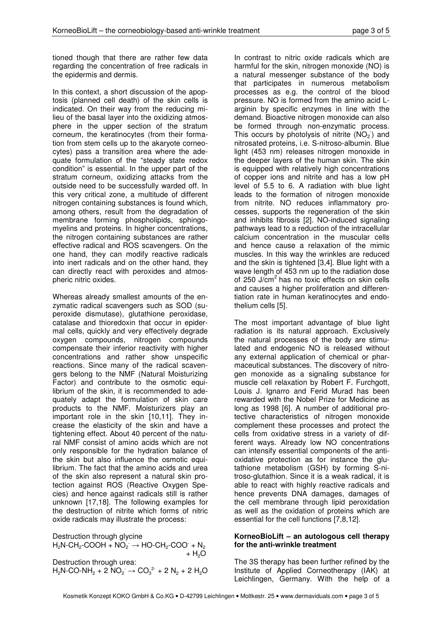tioned though that there are rather few data regarding the concentration of free radicals in the epidermis and dermis.

In this context, a short discussion of the apoptosis (planned cell death) of the skin cells is indicated. On their way from the reducing milieu of the basal layer into the oxidizing atmosphere in the upper section of the stratum corneum, the keratinocytes (from their formation from stem cells up to the akaryote corneocytes) pass a transition area where the adequate formulation of the "steady state redox condition" is essential. In the upper part of the stratum corneum, oxidizing attacks from the outside need to be successfully warded off. In this very critical zone, a multitude of different nitrogen containing substances is found which, among others, result from the degradation of membrane forming phospholipids, sphingomyelins and proteins. In higher concentrations, the nitrogen containing substances are rather effective radical and ROS scavengers. On the one hand, they can modify reactive radicals into inert radicals and on the other hand, they can directly react with peroxides and atmospheric nitric oxides.

Whereas already smallest amounts of the enzymatic radical scavengers such as SOD (superoxide dismutase), glutathione peroxidase, catalase and thioredoxin that occur in epidermal cells, quickly and very effectively degrade oxygen compounds, nitrogen compounds compensate their inferior reactivity with higher concentrations and rather show unspecific reactions. Since many of the radical scavengers belong to the NMF (Natural Moisturizing Factor) and contribute to the osmotic equilibrium of the skin, it is recommended to adequately adapt the formulation of skin care products to the NMF. Moisturizers play an important role in the skin [10,11]. They increase the elasticity of the skin and have a tightening effect. About 40 percent of the natural NMF consist of amino acids which are not only responsible for the hydration balance of the skin but also influence the osmotic equilibrium. The fact that the amino acids and urea of the skin also represent a natural skin protection against ROS (Reactive Oxygen Species) and hence against radicals still is rather unknown [17,18]. The following examples for the destruction of nitrite which forms of nitric oxide radicals may illustrate the process:

Destruction through glycine  $H_2N\text{-}\text{CH}_2\text{-}\text{COOH} + \text{NO}_2 \rightarrow \text{HO-}\text{CH}_2\text{-}\text{COO} + \text{N}_2$  $+ H<sub>2</sub>O$ Destruction through urea:  $H_2N$ -CO-N $H_2 + 2 \overline{N}O_2 \rightarrow CO_3^2 + 2 \overline{N}_2 + 2 \overline{H}_2O$ 

In contrast to nitric oxide radicals which are harmful for the skin, nitrogen monoxide (NO) is a natural messenger substance of the body that participates in numerous metabolism processes as e.g. the control of the blood pressure. NO is formed from the amino acid Larginin by specific enzymes in line with the demand. Bioactive nitrogen monoxide can also be formed through non-enzymatic process. This occurs by photolysis of nitrite  $(NO<sub>2</sub>)$  and nitrosated proteins, i.e. S-nitroso-albumin. Blue light (453 nm) releases nitrogen monoxide in the deeper layers of the human skin. The skin is equipped with relatively high concentrations of copper ions and nitrite and has a low pH level of 5.5 to 6. A radiation with blue light leads to the formation of nitrogen monoxide from nitrite. NO reduces inflammatory processes, supports the regeneration of the skin and inhibits fibrosis [2]. NO-induced signaling pathways lead to a reduction of the intracellular calcium concentration in the muscular cells and hence cause a relaxation of the mimic muscles. In this way the wrinkles are reduced and the skin is tightened [3,4]. Blue light with a wave length of 453 nm up to the radiation dose of 250 J/cm<sup>2</sup> has no toxic effects on skin cells and causes a higher proliferation and differentiation rate in human keratinocytes and endothelium cells [5].

The most important advantage of blue light radiation is its natural approach. Exclusively the natural processes of the body are stimulated and endogenic NO is released without any external application of chemical or pharmaceutical substances. The discovery of nitrogen monoxide as a signaling substance for muscle cell relaxation by Robert F. Furchgott, Louis J. Ignarro and Ferid Murad has been rewarded with the Nobel Prize for Medicine as long as 1998 [6]. A number of additional protective characteristics of nitrogen monoxide complement these processes and protect the cells from oxidative stress in a variety of different ways. Already low NO concentrations can intensify essential components of the antioxidative protection as for instance the glutathione metabolism (GSH) by forming S-nitroso-glutathion. Since it is a weak radical, it is able to react with highly reactive radicals and hence prevents DNA damages, damages of the cell membrane through lipid peroxidation as well as the oxidation of proteins which are essential for the cell functions [7,8,12].

### **KorneoBioLift – an autologous cell therapy for the anti-wrinkle treatment**

The 3S therapy has been further refined by the Institute of Applied Corneotherapy (IAK) at Leichlingen, Germany. With the help of a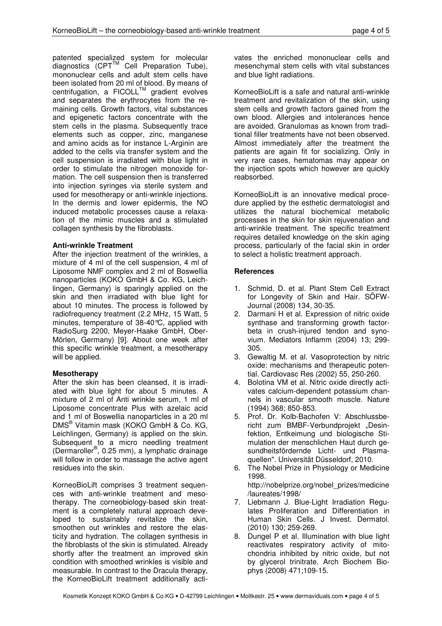patented specialized system for molecular  $diagonostics$  (CPT<sup>TM</sup> Cell Preparation Tube), mononuclear cells and adult stem cells have been isolated from 20 ml of blood. By means of centrifugation, a  $FICOLL^M$  gradient evolves and separates the erythrocytes from the remaining cells. Growth factors, vital substances and epigenetic factors concentrate with the stem cells in the plasma. Subsequently trace elements such as copper, zinc, manganese and amino acids as for instance L-Arginin are added to the cells via transfer system and the cell suspension is irradiated with blue light in order to stimulate the nitrogen monoxide formation. The cell suspension then is transferred into injection syringes via sterile system and used for mesotherapy or anti-wrinkle injections. In the dermis and lower epidermis, the NO induced metabolic processes cause a relaxation of the mimic muscles and a stimulated collagen synthesis by the fibroblasts.

# **Anti-wrinkle Treatment**

After the injection treatment of the wrinkles, a mixture of 4 ml of the cell suspension, 4 ml of Liposome NMF complex and 2 ml of Boswellia nanoparticles (KOKO GmbH & Co. KG, Leichlingen, Germany) is sparingly applied on the skin and then irradiated with blue light for about 10 minutes. The process is followed by radiofrequency treatment (2.2 MHz, 15 Watt, 5 minutes, temperature of 38-40°C, applied with RadioSurg 2200, Meyer-Haake GmbH, Ober-Mörlen, Germany) [9]. About one week after this specific wrinkle treatment, a mesotherapy will be applied.

# **Mesotherapy**

After the skin has been cleansed, it is irradiated with blue light for about 5 minutes. A mixture of 2 ml of Anti wrinkle serum, 1 ml of Liposome concentrate Plus with azelaic acid and 1 ml of Boswellia nanoparticles in a 20 ml DMS® Vitamin mask (KOKO GmbH & Co. KG, Leichlingen, Germany) is applied on the skin. Subsequent to a micro needling treatment (Dermaroller® , 0.25 mm), a lymphatic drainage will follow in order to massage the active agent residues into the skin.

KorneoBioLift comprises 3 treatment sequences with anti-wrinkle treatment and mesotherapy. The corneobiology-based skin treatment is a completely natural approach developed to sustainably revitalize the skin, smoothen out wrinkles and restore the elasticity and hydration. The collagen synthesis in the fibroblasts of the skin is stimulated. Already shortly after the treatment an improved skin condition with smoothed wrinkles is visible and measurable. In contrast to the Dracula therapy, the KorneoBioLift treatment additionally activates the enriched mononuclear cells and mesenchymal stem cells with vital substances and blue light radiations.

KorneoBioLift is a safe and natural anti-wrinkle treatment and revitalization of the skin, using stem cells and growth factors gained from the own blood. Allergies and intolerances hence are avoided. Granulomas as known from traditional filler treatments have not been observed. Almost immediately after the treatment the patients are again fit for socializing. Only in very rare cases, hematomas may appear on the injection spots which however are quickly reabsorbed.

KorneoBioLift is an innovative medical procedure applied by the esthetic dermatologist and utilizes the natural biochemical metabolic processes in the skin for skin rejuvenation and anti-wrinkle treatment. The specific treatment requires detailed knowledge on the skin aging process, particularly of the facial skin in order to select a holistic treatment approach.

# **References**

- 1. Schmid, D. et al. Plant Stem Cell Extract for Longevity of Skin and Hair. SÖFW-Journal (2008) 134, 30-35.
- 2. Darmani H et al. Expression of nitric oxide synthase and transforming growth factorbeta in crush-injured tendon and synovium. Mediators Inflamm (2004) 13; 299- 305.
- 3. Gewaltig M. et al. Vasoprotection by nitric oxide: mechanisms and therapeutic potential. Cardiovasc Res (2002) 55, 250-260.
- 4. Bolotina VM et al. Nitric oxide directly activates calcium-dependent potassium channels in vascular smooth muscle. Nature (1994) 368; 850-853.
- 5. Prof. Dr. Kolb-Bachofen V: Abschlussbericht zum BMBF-Verbundprojekt "Desinfektion, Entkeimung und biologische Stimulation der menschlichen Haut durch gesundheitsfördernde Licht- und Plasmaquellen". Universität Düsseldorf, 2010.
- 6. The Nobel Prize in Physiology or Medicine 1998. http://nobelprize.org/nobel\_prizes/medicine
- /laureates/1998/ 7. Liebmann J. Blue-Light Irradiation Regulates Proliferation and Differentiation in Human Skin Cells. J Invest. Dermatol. (2010) 130; 259-269.
- 8. Dungel P et al. Illumination with blue light reactivates respiratory activity of mitochondria inhibited by nitric oxide, but not by glycerol trinitrate. Arch Biochem Biophys (2008) 471;109-15.